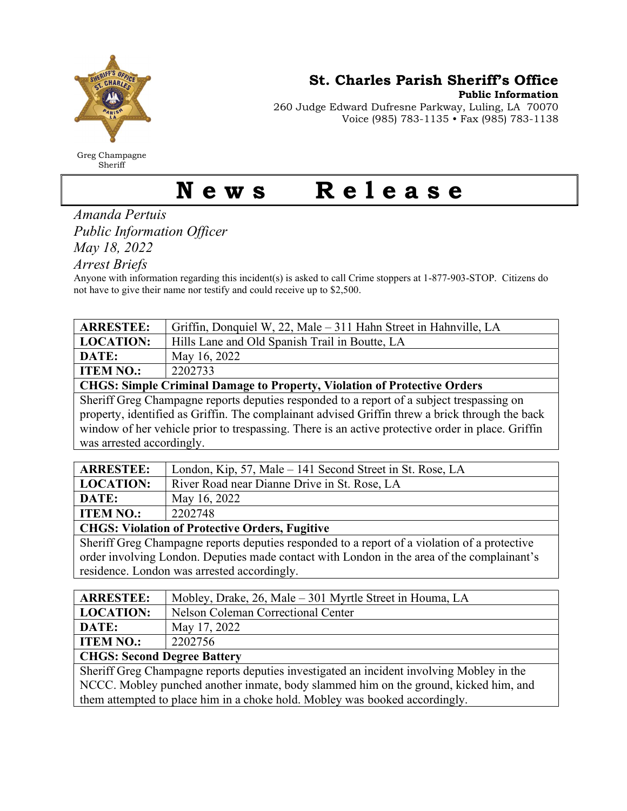

Greg Champagne Sheriff

St. Charles Parish Sheriff's Office

Public Information

260 Judge Edward Dufresne Parkway, Luling, LA 70070 Voice (985) 783-1135 • Fax (985) 783-1138

## News Release

Amanda Pertuis Public Information Officer May 18, 2022

Arrest Briefs

Anyone with information regarding this incident(s) is asked to call Crime stoppers at 1-877-903-STOP. Citizens do not have to give their name nor testify and could receive up to \$2,500.

| <b>ARRESTEE:</b>                                                                                                                                                                                     | Griffin, Donquiel W, 22, Male – 311 Hahn Street in Hahnville, LA |  |
|------------------------------------------------------------------------------------------------------------------------------------------------------------------------------------------------------|------------------------------------------------------------------|--|
| <b>LOCATION:</b>                                                                                                                                                                                     | Hills Lane and Old Spanish Trail in Boutte, LA                   |  |
| DATE:                                                                                                                                                                                                | May 16, 2022                                                     |  |
| <b>ITEM NO.:</b>                                                                                                                                                                                     | 2202733                                                          |  |
| <b>CHGS: Simple Criminal Damage to Property, Violation of Protective Orders</b>                                                                                                                      |                                                                  |  |
| Sheriff Greg Champagne reports deputies responded to a report of a subject trespassing on                                                                                                            |                                                                  |  |
| property, identified as Griffin. The complainant advised Griffin threw a brick through the back<br>window of her vehicle prior to trespassing. There is an active protective order in place. Griffin |                                                                  |  |

|  | was arrested accordingly. |
|--|---------------------------|
|--|---------------------------|

| <b>ARRESTEE:</b>                                      | London, Kip, 57, Male – 141 Second Street in St. Rose, LA |  |
|-------------------------------------------------------|-----------------------------------------------------------|--|
| LOCATION:                                             | River Road near Dianne Drive in St. Rose, LA              |  |
| <b>DATE:</b>                                          | May 16, 2022                                              |  |
| <b>ITEM NO.:</b>                                      | 2202748                                                   |  |
| <b>CHGS: Violation of Protective Orders, Fugitive</b> |                                                           |  |

Sheriff Greg Champagne reports deputies responded to a report of a violation of a protective order involving London. Deputies made contact with London in the area of the complainant's residence. London was arrested accordingly.

| <b>ARRESTEE:</b>                                                                         | Mobley, Drake, 26, Male – 301 Myrtle Street in Houma, LA |  |
|------------------------------------------------------------------------------------------|----------------------------------------------------------|--|
| <b>LOCATION:</b>                                                                         | Nelson Coleman Correctional Center                       |  |
| DATE:                                                                                    | May 17, 2022                                             |  |
| <b>ITEM NO.:</b>                                                                         | 2202756                                                  |  |
| <b>CHGS: Second Degree Battery</b>                                                       |                                                          |  |
| Sheriff Greg Champagne reports deputies investigated an incident involving Mobley in the |                                                          |  |
| NCCC. Mobley punched another inmate, body slammed him on the ground, kicked him, and     |                                                          |  |
| them attempted to place him in a choke hold. Mobley was booked accordingly.              |                                                          |  |